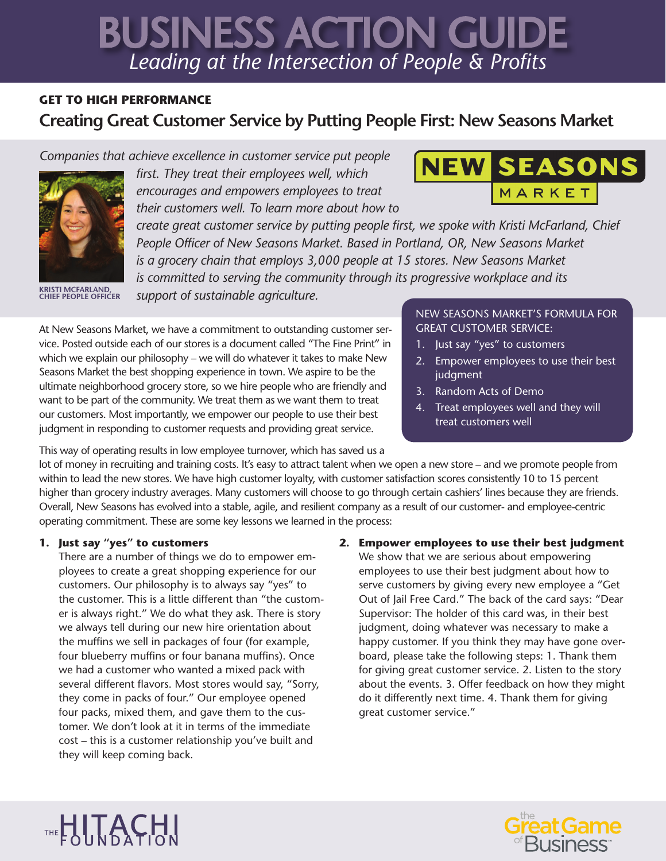# *Leading at the Intersection of People & Profits* BUSINESS ACTION GUIDE

# **GET TO HIGH PERFORMANCE Creating Great Customer Service by Putting People First: New Seasons Market**

*Companies that achieve excellence in customer service put people* 



**KRISTI MCFARLAND, CHIEF PEOPLE OFFICER**

*first. They treat their employees well, which encourages and empowers employees to treat their customers well. To learn more about how to* 

*create great customer service by putting people first, we spoke with Kristi McFarland, Chief People Officer of New Seasons Market. Based in Portland, OR, New Seasons Market is a grocery chain that employs 3,000 people at 15 stores. New Seasons Market is committed to serving the community through its progressive workplace and its* 

*support of sustainable agriculture.*

At New Seasons Market, we have a commitment to outstanding customer service. Posted outside each of our stores is a document called "The Fine Print" in which we explain our philosophy – we will do whatever it takes to make New Seasons Market the best shopping experience in town. We aspire to be the ultimate neighborhood grocery store, so we hire people who are friendly and want to be part of the community. We treat them as we want them to treat our customers. Most importantly, we empower our people to use their best judgment in responding to customer requests and providing great service.

NEW SEASONS MARKET'S FORMULA FOR GREAT CUSTOMER SERVICE:

- 1. Just say "yes" to customers
- 2. Empower employees to use their best judgment
- 3. Random Acts of Demo
- 4. Treat employees well and they will treat customers well

This way of operating results in low employee turnover, which has saved us a

lot of money in recruiting and training costs. It's easy to attract talent when we open a new store – and we promote people from within to lead the new stores. We have high customer loyalty, with customer satisfaction scores consistently 10 to 15 percent higher than grocery industry averages. Many customers will choose to go through certain cashiers' lines because they are friends. Overall, New Seasons has evolved into a stable, agile, and resilient company as a result of our customer- and employee-centric operating commitment. These are some key lessons we learned in the process:

# **1. Just say "yes" to customers**

There are a number of things we do to empower employees to create a great shopping experience for our customers. Our philosophy is to always say "yes" to the customer. This is a little different than "the customer is always right." We do what they ask. There is story we always tell during our new hire orientation about the muffins we sell in packages of four (for example, four blueberry muffins or four banana muffins). Once we had a customer who wanted a mixed pack with several different flavors. Most stores would say, "Sorry, they come in packs of four." Our employee opened four packs, mixed them, and gave them to the customer. We don't look at it in terms of the immediate cost – this is a customer relationship you've built and they will keep coming back.

# **2. Empower employees to use their best judgment**

We show that we are serious about empowering employees to use their best judgment about how to serve customers by giving every new employee a "Get Out of Jail Free Card." The back of the card says: "Dear Supervisor: The holder of this card was, in their best judgment, doing whatever was necessary to make a happy customer. If you think they may have gone overboard, please take the following steps: 1. Thank them for giving great customer service. 2. Listen to the story about the events. 3. Offer feedback on how they might do it differently next time. 4. Thank them for giving great customer service."





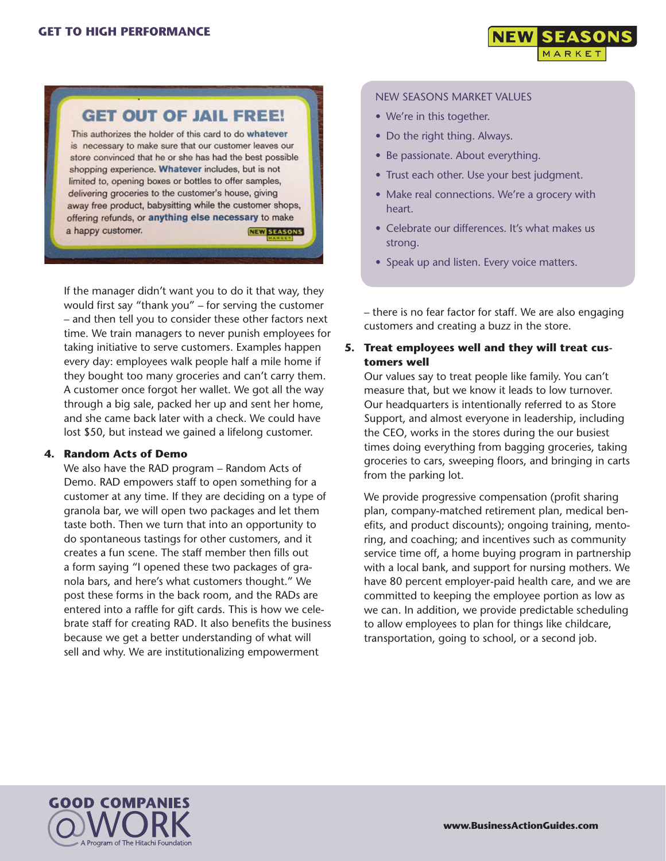

# **GET OUT OF JAIL FREE!**

This authorizes the holder of this card to do whatever is necessary to make sure that our customer leaves our store convinced that he or she has had the best possible shopping experience. Whatever includes, but is not limited to, opening boxes or bottles to offer samples, delivering groceries to the customer's house, giving away free product, babysitting while the customer shops, offering refunds, or anything else necessary to make a happy customer. **NEW SEASONS** 

If the manager didn't want you to do it that way, they would first say "thank you" – for serving the customer – and then tell you to consider these other factors next time. We train managers to never punish employees for taking initiative to serve customers. Examples happen every day: employees walk people half a mile home if they bought too many groceries and can't carry them. A customer once forgot her wallet. We got all the way through a big sale, packed her up and sent her home, and she came back later with a check. We could have lost \$50, but instead we gained a lifelong customer.

#### **4. Random Acts of Demo**

We also have the RAD program – Random Acts of Demo. RAD empowers staff to open something for a customer at any time. If they are deciding on a type of granola bar, we will open two packages and let them taste both. Then we turn that into an opportunity to do spontaneous tastings for other customers, and it creates a fun scene. The staff member then fills out a form saying "I opened these two packages of granola bars, and here's what customers thought." We post these forms in the back room, and the RADs are entered into a raffle for gift cards. This is how we celebrate staff for creating RAD. It also benefits the business because we get a better understanding of what will sell and why. We are institutionalizing empowerment

#### NEW SEASONS MARKET VALUES

- We're in this together.
- Do the right thing. Always.
- Be passionate. About everything.
- Trust each other. Use your best judgment.
- Make real connections. We're a grocery with heart.
- Celebrate our differences. It's what makes us strong.
- Speak up and listen. Every voice matters.

– there is no fear factor for staff. We are also engaging customers and creating a buzz in the store.

## **5. Treat employees well and they will treat customers well**

Our values say to treat people like family. You can't measure that, but we know it leads to low turnover. Our headquarters is intentionally referred to as Store Support, and almost everyone in leadership, including the CEO, works in the stores during the our busiest times doing everything from bagging groceries, taking groceries to cars, sweeping floors, and bringing in carts from the parking lot.

We provide progressive compensation (profit sharing plan, company-matched retirement plan, medical benefits, and product discounts); ongoing training, mentoring, and coaching; and incentives such as community service time off, a home buying program in partnership with a local bank, and support for nursing mothers. We have 80 percent employer-paid health care, and we are committed to keeping the employee portion as low as we can. In addition, we provide predictable scheduling to allow employees to plan for things like childcare, transportation, going to school, or a second job.